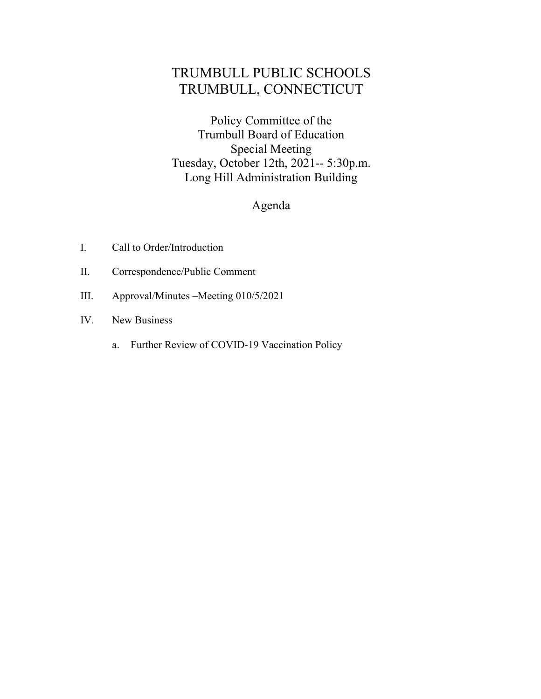# TRUMBULL PUBLIC SCHOOLS TRUMBULL, CONNECTICUT

 Policy Committee of the Trumbull Board of Education Tuesday, October 12th, 2021-- 5:30p.m. Long Hill Administration Building Special Meeting

## Agenda

- I. Call to Order/Introduction
- II. Correspondence/Public Comment
- III. Approval/Minutes –Meeting 010/5/2021
- IV. New Business
	- a. Further Review of COVID-19 Vaccination Policy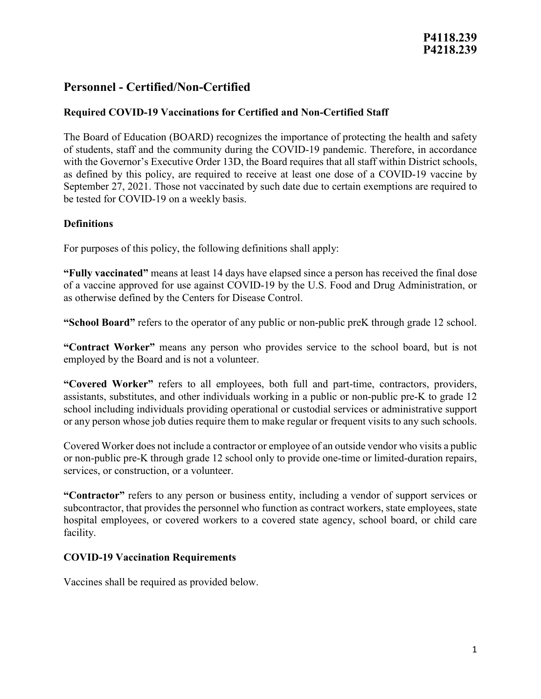## **Required COVID-19 Vaccinations for Certified and Non-Certified Staff**

The Board of Education (BOARD) recognizes the importance of protecting the health and safety of students, staff and the community during the COVID-19 pandemic. Therefore, in accordance with the Governor's Executive Order 13D, the Board requires that all staff within District schools, as defined by this policy, are required to receive at least one dose of a COVID-19 vaccine by September 27, 2021. Those not vaccinated by such date due to certain exemptions are required to be tested for COVID-19 on a weekly basis.

## **Definitions**

For purposes of this policy, the following definitions shall apply:

**"Fully vaccinated"** means at least 14 days have elapsed since a person has received the final dose of a vaccine approved for use against COVID-19 by the U.S. Food and Drug Administration, or as otherwise defined by the Centers for Disease Control.

**"School Board"** refers to the operator of any public or non-public preK through grade 12 school.

**"Contract Worker"** means any person who provides service to the school board, but is not employed by the Board and is not a volunteer.

**"Covered Worker"** refers to all employees, both full and part-time, contractors, providers, assistants, substitutes, and other individuals working in a public or non-public pre-K to grade 12 school including individuals providing operational or custodial services or administrative support or any person whose job duties require them to make regular or frequent visits to any such schools.

Covered Worker does not include a contractor or employee of an outside vendor who visits a public or non-public pre-K through grade 12 school only to provide one-time or limited-duration repairs, services, or construction, or a volunteer.

**"Contractor"** refers to any person or business entity, including a vendor of support services or subcontractor, that provides the personnel who function as contract workers, state employees, state hospital employees, or covered workers to a covered state agency, school board, or child care facility.

## **COVID-19 Vaccination Requirements**

Vaccines shall be required as provided below.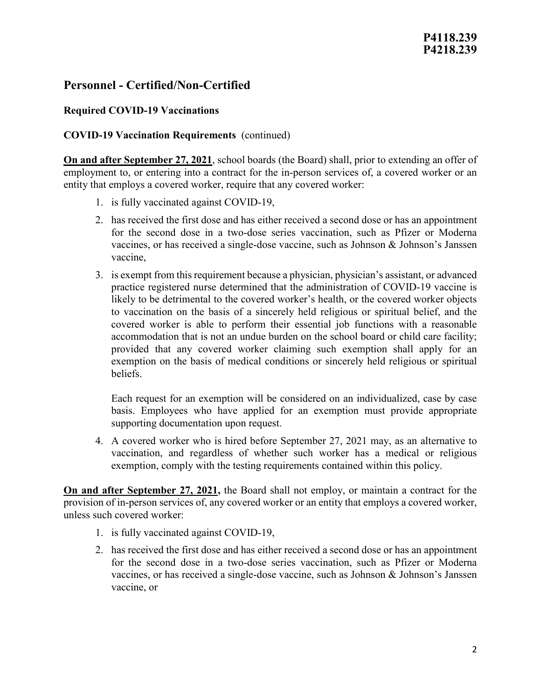### **Required COVID-19 Vaccinations**

### **COVID-19 Vaccination Requirements** (continued)

**On and after September 27, 2021**, school boards (the Board) shall, prior to extending an offer of employment to, or entering into a contract for the in-person services of, a covered worker or an entity that employs a covered worker, require that any covered worker:

- 1. is fully vaccinated against COVID-19,
- 2. has received the first dose and has either received a second dose or has an appointment for the second dose in a two-dose series vaccination, such as Pfizer or Moderna vaccines, or has received a single-dose vaccine, such as Johnson & Johnson's Janssen vaccine,
- 3. is exempt from this requirement because a physician, physician's assistant, or advanced practice registered nurse determined that the administration of COVID-19 vaccine is likely to be detrimental to the covered worker's health, or the covered worker objects to vaccination on the basis of a sincerely held religious or spiritual belief, and the covered worker is able to perform their essential job functions with a reasonable accommodation that is not an undue burden on the school board or child care facility; provided that any covered worker claiming such exemption shall apply for an exemption on the basis of medical conditions or sincerely held religious or spiritual beliefs.

Each request for an exemption will be considered on an individualized, case by case basis. Employees who have applied for an exemption must provide appropriate supporting documentation upon request.

4. A covered worker who is hired before September 27, 2021 may, as an alternative to vaccination, and regardless of whether such worker has a medical or religious exemption, comply with the testing requirements contained within this policy.

**On and after September 27, 2021,** the Board shall not employ, or maintain a contract for the provision of in-person services of, any covered worker or an entity that employs a covered worker, unless such covered worker:

- 1. is fully vaccinated against COVID-19,
- 2. has received the first dose and has either received a second dose or has an appointment for the second dose in a two-dose series vaccination, such as Pfizer or Moderna vaccines, or has received a single-dose vaccine, such as Johnson & Johnson's Janssen vaccine, or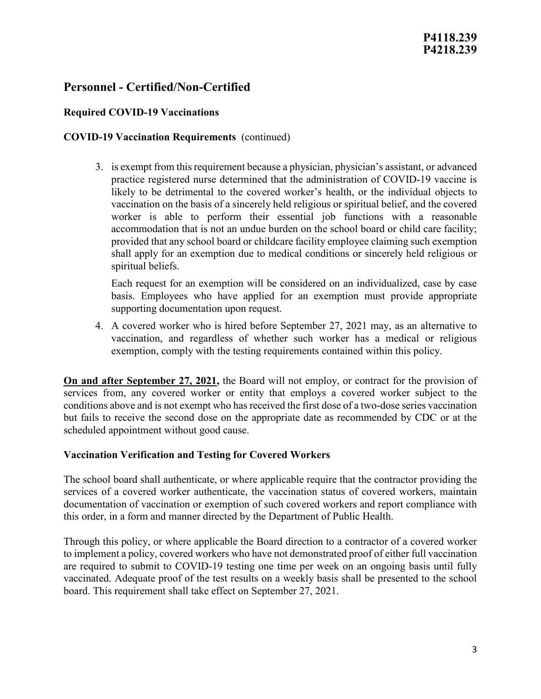## **P4118.239 P4218.239**

## **Personnel - Certified/Non-Certified**

## **Required COVID-19 Vaccinations**

### **COVID-19 Vaccination Requirements** (continued)

3. is exempt from this requirement because a physician, physician's assistant, or advanced practice registered nurse determined that the administration of COVID-19 vaccine is likely to be detrimental to the covered worker's health, or the individual objects to vaccination on the basis of a sincerely held religious or spiritual belief, and the covered worker is able to perform their essential job functions with a reasonable accommodation that is not an undue burden on the school board or child care facility; provided that any school board or childcare facility employee claiming such exemption shall apply for an exemption due to medical conditions or sincerely held religious or spiritual beliefs.

Each request for an exemption will be considered on an individualized, case by case basis. Employees who have applied for an exemption must provide appropriate supporting documentation upon request.

4. A covered worker who is hired before September 27, 2021 may, as an alternative to vaccination, and regardless of whether such worker has a medical or religious exemption, comply with the testing requirements contained within this policy.

**On and after September 27, 2021,** the Board will not employ, or contract for the provision of services from, any covered worker or entity that employs a covered worker subject to the conditions above and is not exempt who has received the first dose of a two-dose series vaccination but fails to receive the second dose on the appropriate date as recommended by CDC or at the scheduled appointment without good cause.

#### **Vaccination Verification and Testing for Covered Workers**

The school board shall authenticate, or where applicable require that the contractor providing the services of a covered worker authenticate, the vaccination status of covered workers, maintain documentation of vaccination or exemption of such covered workers and report compliance with this order, in a form and manner directed by the Department of Public Health.

Through this policy, or where applicable the Board direction to a contractor of a covered worker to implement a policy, covered workers who have not demonstrated proof of either full vaccination are required to submit to COVID-19 testing one time per week on an ongoing basis until fully vaccinated. Adequate proof of the test results on a weekly basis shall be presented to the school board. This requirement shall take effect on September 27, 2021.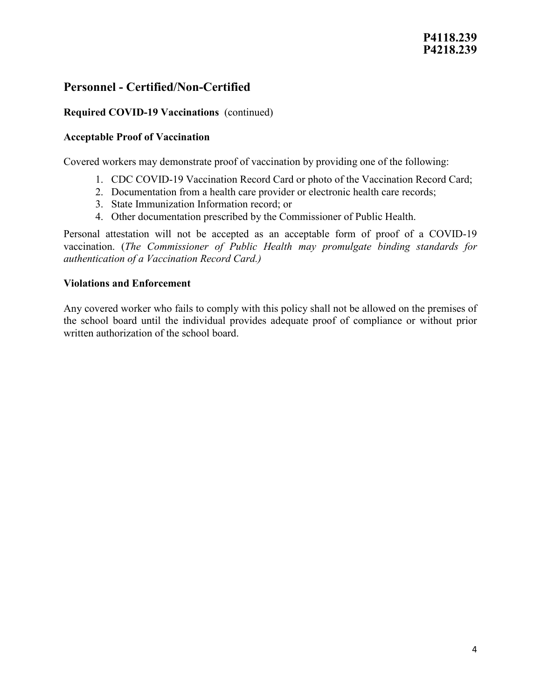## **Required COVID-19 Vaccinations** (continued)

### **Acceptable Proof of Vaccination**

Covered workers may demonstrate proof of vaccination by providing one of the following:

- 1. CDC COVID-19 Vaccination Record Card or photo of the Vaccination Record Card;
- 2. Documentation from a health care provider or electronic health care records;
- 3. State Immunization Information record; or
- 4. Other documentation prescribed by the Commissioner of Public Health.

Personal attestation will not be accepted as an acceptable form of proof of a COVID-19 vaccination. (*The Commissioner of Public Health may promulgate binding standards for authentication of a Vaccination Record Card.)*

### **Violations and Enforcement**

Any covered worker who fails to comply with this policy shall not be allowed on the premises of the school board until the individual provides adequate proof of compliance or without prior written authorization of the school board.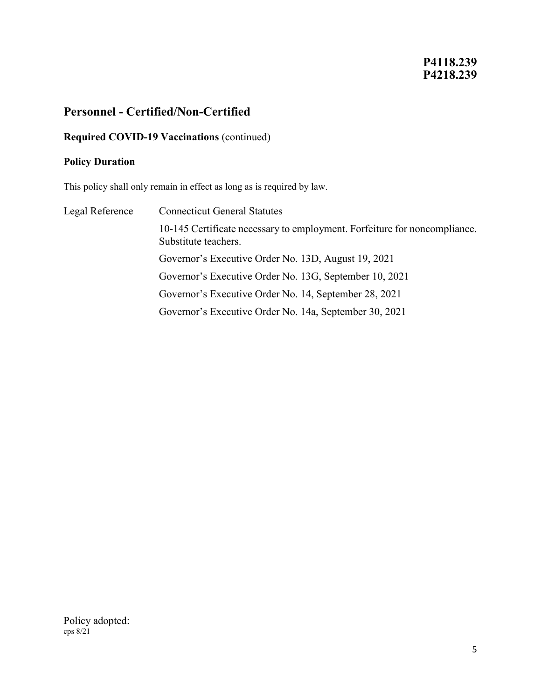## **P4118.239 P4218.239**

## **Personnel - Certified/Non-Certified**

## **Required COVID-19 Vaccinations** (continued)

#### **Policy Duration**

This policy shall only remain in effect as long as is required by law.

Legal Reference Connecticut General Statutes 10-145 Certificate necessary to employment. Forfeiture for noncompliance. Substitute teachers. Governor's Executive Order No. 13D, August 19, 2021 Governor's Executive Order No. 13G, September 10, 2021 Governor's Executive Order No. 14, September 28, 2021 Governor's Executive Order No. 14a, September 30, 2021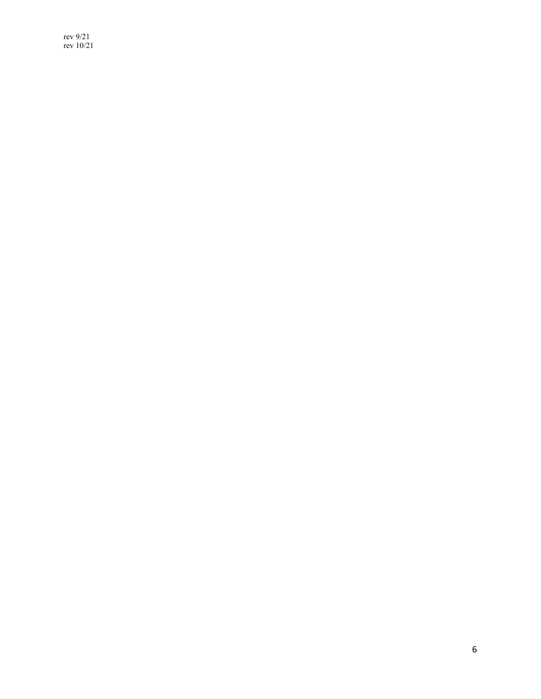rev 9/21 rev 10/21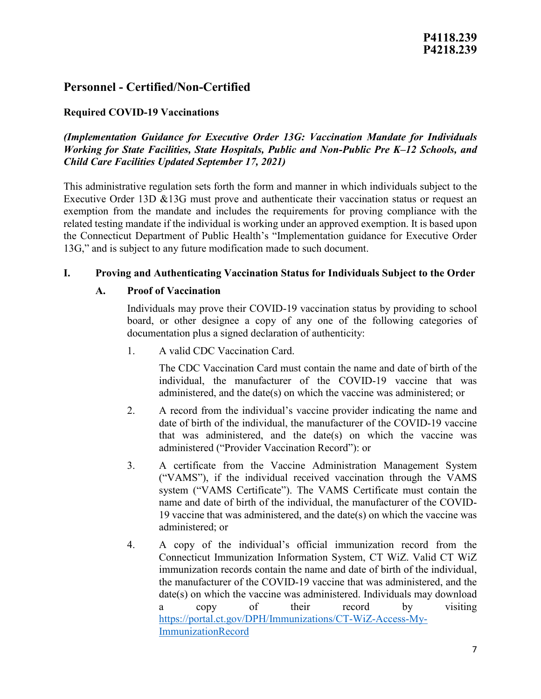### **Required COVID-19 Vaccinations**

## *(Implementation Guidance for Executive Order 13G: Vaccination Mandate for Individuals Working for State Facilities, State Hospitals, Public and Non-Public Pre K–12 Schools, and Child Care Facilities Updated September 17, 2021)*

This administrative regulation sets forth the form and manner in which individuals subject to the Executive Order 13D &13G must prove and authenticate their vaccination status or request an exemption from the mandate and includes the requirements for proving compliance with the related testing mandate if the individual is working under an approved exemption. It is based upon the Connecticut Department of Public Health's "Implementation guidance for Executive Order 13G," and is subject to any future modification made to such document.

### **I. Proving and Authenticating Vaccination Status for Individuals Subject to the Order**

#### **A. Proof of Vaccination**

Individuals may prove their COVID-19 vaccination status by providing to school board, or other designee a copy of any one of the following categories of documentation plus a signed declaration of authenticity:

1. A valid CDC Vaccination Card.

The CDC Vaccination Card must contain the name and date of birth of the individual, the manufacturer of the COVID-19 vaccine that was administered, and the date(s) on which the vaccine was administered; or

- 2. A record from the individual's vaccine provider indicating the name and date of birth of the individual, the manufacturer of the COVID-19 vaccine that was administered, and the date(s) on which the vaccine was administered ("Provider Vaccination Record"): or
- 3. A certificate from the Vaccine Administration Management System ("VAMS"), if the individual received vaccination through the VAMS system ("VAMS Certificate"). The VAMS Certificate must contain the name and date of birth of the individual, the manufacturer of the COVID-19 vaccine that was administered, and the date(s) on which the vaccine was administered; or
- 4. A copy of the individual's official immunization record from the Connecticut Immunization Information System, CT WiZ. Valid CT WiZ immunization records contain the name and date of birth of the individual, the manufacturer of the COVID-19 vaccine that was administered, and the date(s) on which the vaccine was administered. Individuals may download a copy of their record by visiting [https://portal.ct.gov/DPH/Immunizations/CT-WiZ-Access-My-](https://portal.ct.gov/DPH/Immunizations/CT-WiZ-Access-My-ImmunizationRecord)[ImmunizationRecord](https://portal.ct.gov/DPH/Immunizations/CT-WiZ-Access-My-ImmunizationRecord)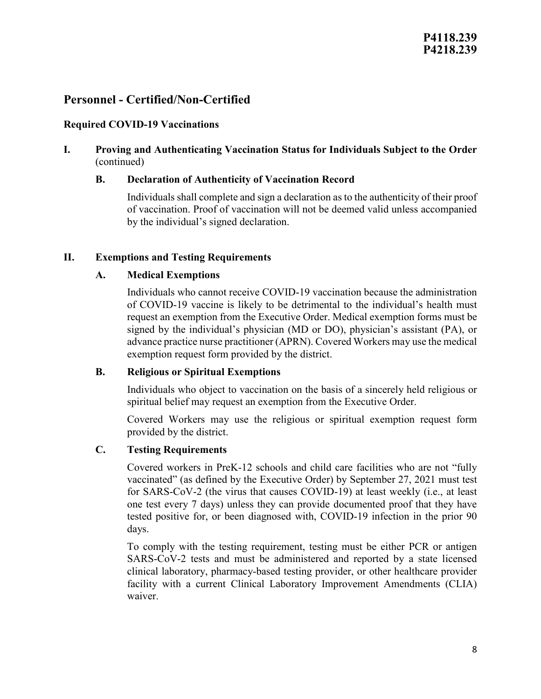#### **Required COVID-19 Vaccinations**

### **I. Proving and Authenticating Vaccination Status for Individuals Subject to the Order**  (continued)

#### **B. Declaration of Authenticity of Vaccination Record**

Individuals shall complete and sign a declaration as to the authenticity of their proof of vaccination. Proof of vaccination will not be deemed valid unless accompanied by the individual's signed declaration.

#### **II. Exemptions and Testing Requirements**

### **A. Medical Exemptions**

Individuals who cannot receive COVID-19 vaccination because the administration of COVID-19 vaccine is likely to be detrimental to the individual's health must request an exemption from the Executive Order. Medical exemption forms must be signed by the individual's physician (MD or DO), physician's assistant (PA), or advance practice nurse practitioner (APRN). Covered Workers may use the medical exemption request form provided by the district.

#### **B. Religious or Spiritual Exemptions**

Individuals who object to vaccination on the basis of a sincerely held religious or spiritual belief may request an exemption from the Executive Order.

Covered Workers may use the religious or spiritual exemption request form provided by the district.

#### **C. Testing Requirements**

Covered workers in PreK-12 schools and child care facilities who are not "fully vaccinated" (as defined by the Executive Order) by September 27, 2021 must test for SARS-CoV-2 (the virus that causes COVID-19) at least weekly (i.e., at least one test every 7 days) unless they can provide documented proof that they have tested positive for, or been diagnosed with, COVID-19 infection in the prior 90 days.

To comply with the testing requirement, testing must be either PCR or antigen SARS-CoV-2 tests and must be administered and reported by a state licensed clinical laboratory, pharmacy-based testing provider, or other healthcare provider facility with a current Clinical Laboratory Improvement Amendments (CLIA) waiver.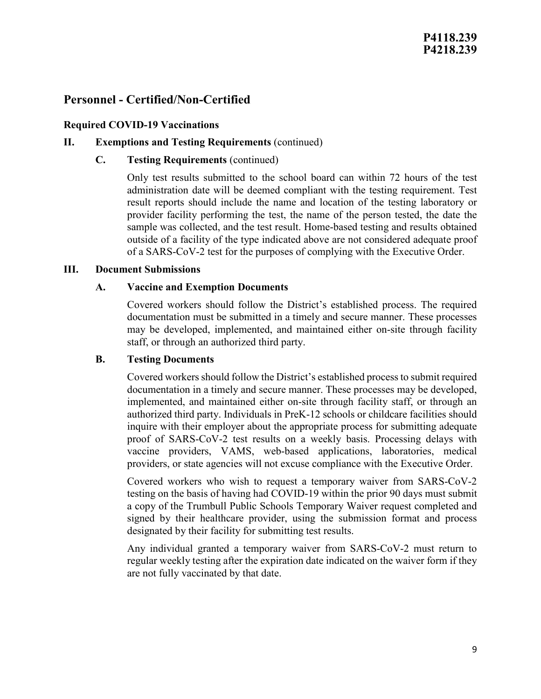#### **Required COVID-19 Vaccinations**

#### **II. Exemptions and Testing Requirements** (continued)

#### **C. Testing Requirements** (continued)

Only test results submitted to the school board can within 72 hours of the test administration date will be deemed compliant with the testing requirement. Test result reports should include the name and location of the testing laboratory or provider facility performing the test, the name of the person tested, the date the sample was collected, and the test result. Home-based testing and results obtained outside of a facility of the type indicated above are not considered adequate proof of a SARS-CoV-2 test for the purposes of complying with the Executive Order.

#### **III. Document Submissions**

#### **A. Vaccine and Exemption Documents**

Covered workers should follow the District's established process. The required documentation must be submitted in a timely and secure manner. These processes may be developed, implemented, and maintained either on-site through facility staff, or through an authorized third party.

#### **B. Testing Documents**

Covered workers should follow the District's established process to submit required documentation in a timely and secure manner. These processes may be developed, implemented, and maintained either on-site through facility staff, or through an authorized third party. Individuals in PreK-12 schools or childcare facilities should inquire with their employer about the appropriate process for submitting adequate proof of SARS-CoV-2 test results on a weekly basis. Processing delays with vaccine providers, VAMS, web-based applications, laboratories, medical providers, or state agencies will not excuse compliance with the Executive Order.

Covered workers who wish to request a temporary waiver from SARS-CoV-2 testing on the basis of having had COVID-19 within the prior 90 days must submit a copy of the Trumbull Public Schools Temporary Waiver request completed and signed by their healthcare provider, using the submission format and process designated by their facility for submitting test results.

Any individual granted a temporary waiver from SARS-CoV-2 must return to regular weekly testing after the expiration date indicated on the waiver form if they are not fully vaccinated by that date.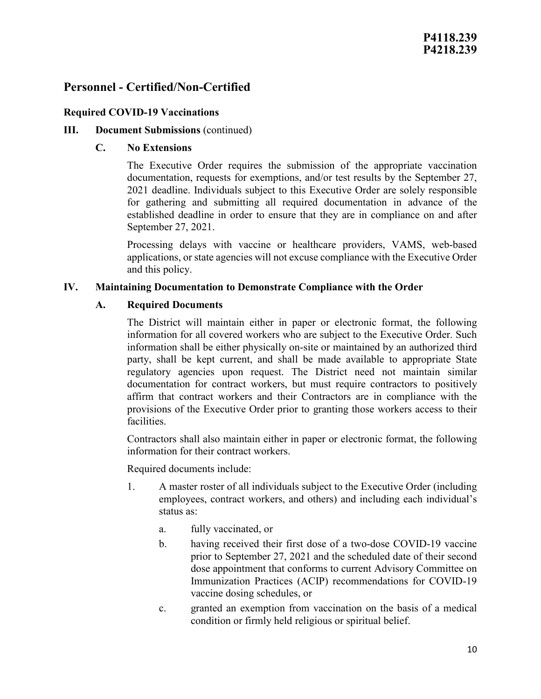#### **Required COVID-19 Vaccinations**

#### **III.** Document Submissions (continued)

#### **C. No Extensions**

The Executive Order requires the submission of the appropriate vaccination documentation, requests for exemptions, and/or test results by the September 27, 2021 deadline. Individuals subject to this Executive Order are solely responsible for gathering and submitting all required documentation in advance of the established deadline in order to ensure that they are in compliance on and after September 27, 2021.

Processing delays with vaccine or healthcare providers, VAMS, web-based applications, or state agencies will not excuse compliance with the Executive Order and this policy.

#### **IV. Maintaining Documentation to Demonstrate Compliance with the Order**

#### **A. Required Documents**

The District will maintain either in paper or electronic format, the following information for all covered workers who are subject to the Executive Order. Such information shall be either physically on-site or maintained by an authorized third party, shall be kept current, and shall be made available to appropriate State regulatory agencies upon request. The District need not maintain similar documentation for contract workers, but must require contractors to positively affirm that contract workers and their Contractors are in compliance with the provisions of the Executive Order prior to granting those workers access to their facilities.

Contractors shall also maintain either in paper or electronic format, the following information for their contract workers.

Required documents include:

- 1. A master roster of all individuals subject to the Executive Order (including employees, contract workers, and others) and including each individual's status as:
	- a. fully vaccinated, or
	- b. having received their first dose of a two-dose COVID-19 vaccine prior to September 27, 2021 and the scheduled date of their second dose appointment that conforms to current Advisory Committee on Immunization Practices (ACIP) recommendations for COVID-19 vaccine dosing schedules, or
	- c. granted an exemption from vaccination on the basis of a medical condition or firmly held religious or spiritual belief.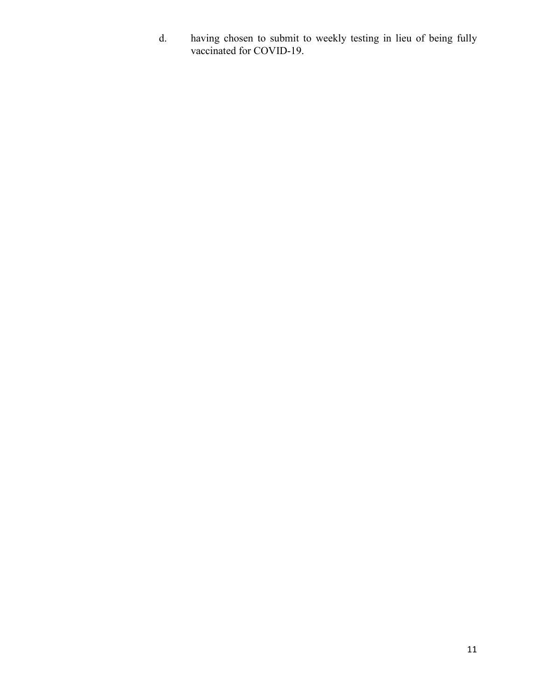d. having chosen to submit to weekly testing in lieu of being fully vaccinated for COVID-19.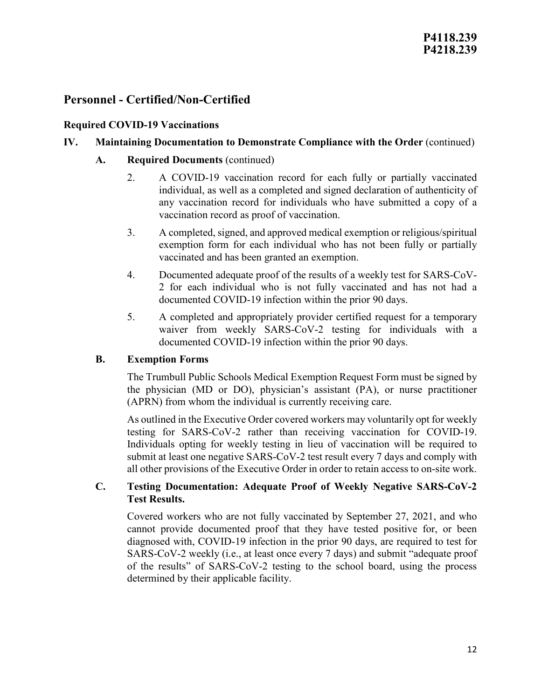## **Required COVID-19 Vaccinations**

## **IV. Maintaining Documentation to Demonstrate Compliance with the Order** (continued)

## **A. Required Documents** (continued)

- 2. A COVID-19 vaccination record for each fully or partially vaccinated individual, as well as a completed and signed declaration of authenticity of any vaccination record for individuals who have submitted a copy of a vaccination record as proof of vaccination.
- 3. A completed, signed, and approved medical exemption or religious/spiritual exemption form for each individual who has not been fully or partially vaccinated and has been granted an exemption.
- 4. Documented adequate proof of the results of a weekly test for SARS-CoV-2 for each individual who is not fully vaccinated and has not had a documented COVID-19 infection within the prior 90 days.
- 5. A completed and appropriately provider certified request for a temporary waiver from weekly SARS-CoV-2 testing for individuals with a documented COVID-19 infection within the prior 90 days.

## **B. Exemption Forms**

The Trumbull Public Schools Medical Exemption Request Form must be signed by the physician (MD or DO), physician's assistant (PA), or nurse practitioner (APRN) from whom the individual is currently receiving care.

As outlined in the Executive Order covered workers may voluntarily opt for weekly testing for SARS-CoV-2 rather than receiving vaccination for COVID-19. Individuals opting for weekly testing in lieu of vaccination will be required to submit at least one negative SARS-CoV-2 test result every 7 days and comply with all other provisions of the Executive Order in order to retain access to on-site work.

## **C. Testing Documentation: Adequate Proof of Weekly Negative SARS-CoV-2 Test Results.**

Covered workers who are not fully vaccinated by September 27, 2021, and who cannot provide documented proof that they have tested positive for, or been diagnosed with, COVID-19 infection in the prior 90 days, are required to test for SARS-CoV-2 weekly (i.e., at least once every 7 days) and submit "adequate proof of the results" of SARS-CoV-2 testing to the school board, using the process determined by their applicable facility.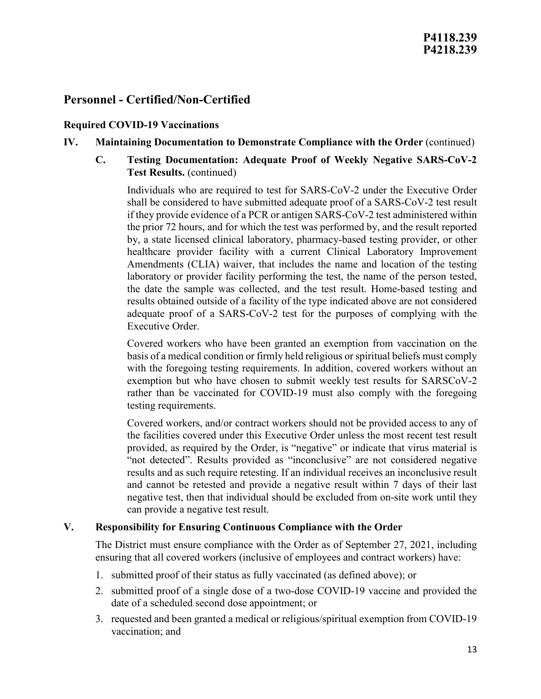#### **Required COVID-19 Vaccinations**

### **IV. Maintaining Documentation to Demonstrate Compliance with the Order** (continued)

**C. Testing Documentation: Adequate Proof of Weekly Negative SARS-CoV-2 Test Results.** (continued)

Individuals who are required to test for SARS-CoV-2 under the Executive Order shall be considered to have submitted adequate proof of a SARS-CoV-2 test result if they provide evidence of a PCR or antigen SARS-CoV-2 test administered within the prior 72 hours, and for which the test was performed by, and the result reported by, a state licensed clinical laboratory, pharmacy-based testing provider, or other healthcare provider facility with a current Clinical Laboratory Improvement Amendments (CLIA) waiver, that includes the name and location of the testing laboratory or provider facility performing the test, the name of the person tested, the date the sample was collected, and the test result. Home-based testing and results obtained outside of a facility of the type indicated above are not considered adequate proof of a SARS-CoV-2 test for the purposes of complying with the Executive Order.

Covered workers who have been granted an exemption from vaccination on the basis of a medical condition or firmly held religious or spiritual beliefs must comply with the foregoing testing requirements. In addition, covered workers without an exemption but who have chosen to submit weekly test results for SARSCoV-2 rather than be vaccinated for COVID-19 must also comply with the foregoing testing requirements.

Covered workers, and/or contract workers should not be provided access to any of the facilities covered under this Executive Order unless the most recent test result provided, as required by the Order, is "negative" or indicate that virus material is "not detected". Results provided as "inconclusive" are not considered negative results and as such require retesting. If an individual receives an inconclusive result and cannot be retested and provide a negative result within 7 days of their last negative test, then that individual should be excluded from on-site work until they can provide a negative test result.

#### **V. Responsibility for Ensuring Continuous Compliance with the Order**

The District must ensure compliance with the Order as of September 27, 2021, including ensuring that all covered workers (inclusive of employees and contract workers) have:

- 1. submitted proof of their status as fully vaccinated (as defined above); or
- 2. submitted proof of a single dose of a two-dose COVID-19 vaccine and provided the date of a scheduled second dose appointment; or
- 3. requested and been granted a medical or religious/spiritual exemption from COVID-19 vaccination; and